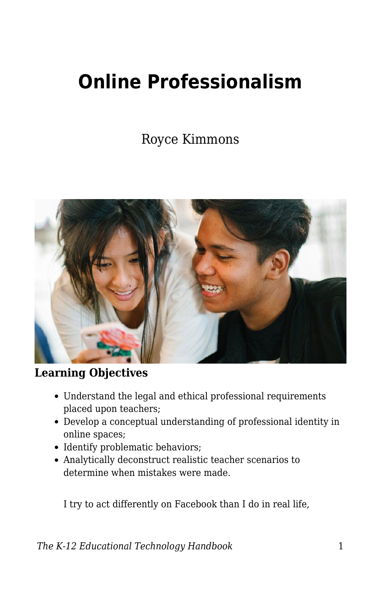# **Online Professionalism**

Royce Kimmons



#### **Learning Objectives**

- Understand the legal and ethical professional requirements placed upon teachers;
- Develop a conceptual understanding of professional identity in online spaces;
- Identify problematic behaviors;
- Analytically deconstruct realistic teacher scenarios to determine when mistakes were made.

I try to act differently on Facebook than I do in real life,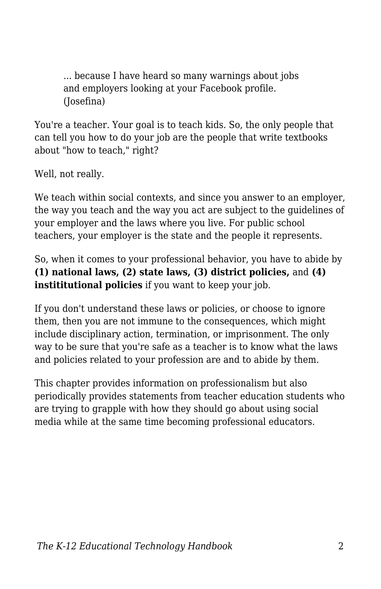... because I have heard so many warnings about jobs and employers looking at your Facebook profile. (Josefina)

You're a teacher. Your goal is to teach kids. So, the only people that can tell you how to do your job are the people that write textbooks about "how to teach." right?

Well, not really.

We teach within social contexts, and since you answer to an employer, the way you teach and the way you act are subject to the guidelines of your employer and the laws where you live. For public school teachers, your employer is the state and the people it represents.

So, when it comes to your professional behavior, you have to abide by **(1) national laws, (2) state laws, (3) district policies,** and **(4) instititutional policies** if you want to keep your job.

If you don't understand these laws or policies, or choose to ignore them, then you are not immune to the consequences, which might include disciplinary action, termination, or imprisonment. The only way to be sure that you're safe as a teacher is to know what the laws and policies related to your profession are and to abide by them.

This chapter provides information on professionalism but also periodically provides statements from teacher education students who are trying to grapple with how they should go about using social media while at the same time becoming professional educators.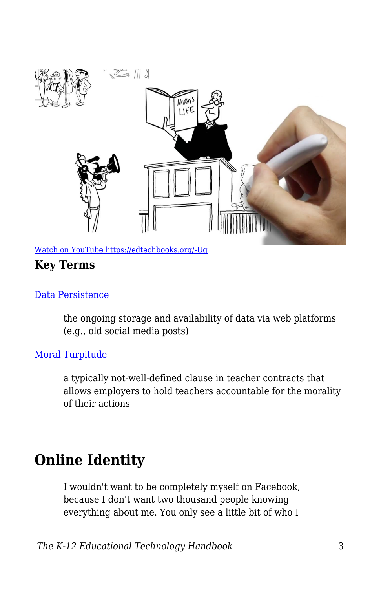

[Watch on YouTube https://edtechbooks.org/-Uq](https://www.youtube.com/embed/Dz333YW9awg?autoplay=1&rel=0&showinfo=0&modestbranding=1)

#### **Key Terms**

#### [Data Persistence](https://edtechbooks.org/k12handbook/glossary#data_persistence)

the ongoing storage and availability of data via web platforms (e.g., old social media posts)

#### [Moral Turpitude](https://edtechbooks.org/k12handbook/glossary#moral_turpitude)

a typically not-well-defined clause in teacher contracts that allows employers to hold teachers accountable for the morality of their actions

### **Online Identity**

I wouldn't want to be completely myself on Facebook, because I don't want two thousand people knowing everything about me. You only see a little bit of who I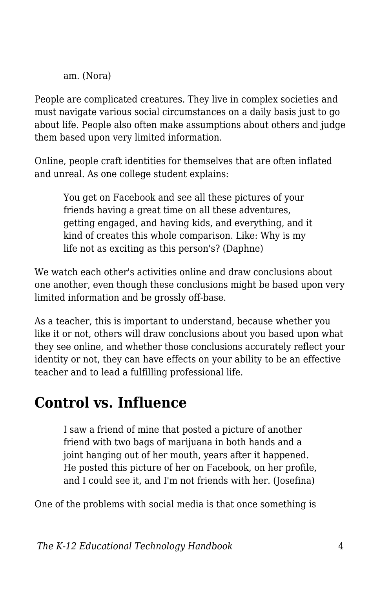am. (Nora)

People are complicated creatures. They live in complex societies and must navigate various social circumstances on a daily basis just to go about life. People also often make assumptions about others and judge them based upon very limited information.

Online, people craft identities for themselves that are often inflated and unreal. As one college student explains:

You get on Facebook and see all these pictures of your friends having a great time on all these adventures, getting engaged, and having kids, and everything, and it kind of creates this whole comparison. Like: Why is my life not as exciting as this person's? (Daphne)

We watch each other's activities online and draw conclusions about one another, even though these conclusions might be based upon very limited information and be grossly off-base.

As a teacher, this is important to understand, because whether you like it or not, others will draw conclusions about you based upon what they see online, and whether those conclusions accurately reflect your identity or not, they can have effects on your ability to be an effective teacher and to lead a fulfilling professional life.

# **Control vs. Influence**

I saw a friend of mine that posted a picture of another friend with two bags of marijuana in both hands and a joint hanging out of her mouth, years after it happened. He posted this picture of her on Facebook, on her profile, and I could see it, and I'm not friends with her. (Josefina)

One of the problems with social media is that once something is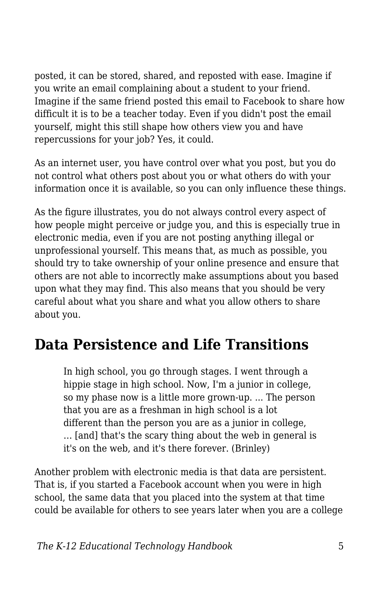posted, it can be stored, shared, and reposted with ease. Imagine if you write an email complaining about a student to your friend. Imagine if the same friend posted this email to Facebook to share how difficult it is to be a teacher today. Even if you didn't post the email yourself, might this still shape how others view you and have repercussions for your job? Yes, it could.

As an internet user, you have control over what you post, but you do not control what others post about you or what others do with your information once it is available, so you can only influence these things.

As the figure illustrates, you do not always control every aspect of how people might perceive or judge you, and this is especially true in electronic media, even if you are not posting anything illegal or unprofessional yourself. This means that, as much as possible, you should try to take ownership of your online presence and ensure that others are not able to incorrectly make assumptions about you based upon what they may find. This also means that you should be very careful about what you share and what you allow others to share about you.

## **Data Persistence and Life Transitions**

In high school, you go through stages. I went through a hippie stage in high school. Now, I'm a junior in college, so my phase now is a little more grown-up. ... The person that you are as a freshman in high school is a lot different than the person you are as a junior in college, … [and] that's the scary thing about the web in general is it's on the web, and it's there forever. (Brinley)

Another problem with electronic media is that data are persistent. That is, if you started a Facebook account when you were in high school, the same data that you placed into the system at that time could be available for others to see years later when you are a college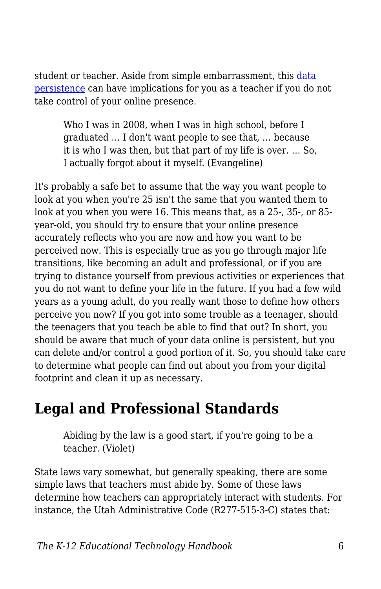student or teacher. Aside from simple embarrassment, this [data](https://edtechbooks.org/k12handbook/glossary#data_persistence) [persistence](https://edtechbooks.org/k12handbook/glossary#data_persistence) can have implications for you as a teacher if you do not take control of your online presence.

Who I was in 2008, when I was in high school, before I graduated … I don't want people to see that, … because it is who I was then, but that part of my life is over. … So, I actually forgot about it myself. (Evangeline)

It's probably a safe bet to assume that the way you want people to look at you when you're 25 isn't the same that you wanted them to look at you when you were 16. This means that, as a 25-, 35-, or 85 year-old, you should try to ensure that your online presence accurately reflects who you are now and how you want to be perceived now. This is especially true as you go through major life transitions, like becoming an adult and professional, or if you are trying to distance yourself from previous activities or experiences that you do not want to define your life in the future. If you had a few wild years as a young adult, do you really want those to define how others perceive you now? If you got into some trouble as a teenager, should the teenagers that you teach be able to find that out? In short, you should be aware that much of your data online is persistent, but you can delete and/or control a good portion of it. So, you should take care to determine what people can find out about you from your digital footprint and clean it up as necessary.

# **Legal and Professional Standards**

Abiding by the law is a good start, if you're going to be a teacher. (Violet)

State laws vary somewhat, but generally speaking, there are some simple laws that teachers must abide by. Some of these laws determine how teachers can appropriately interact with students. For instance, the Utah Administrative Code (R277-515-3-C) states that: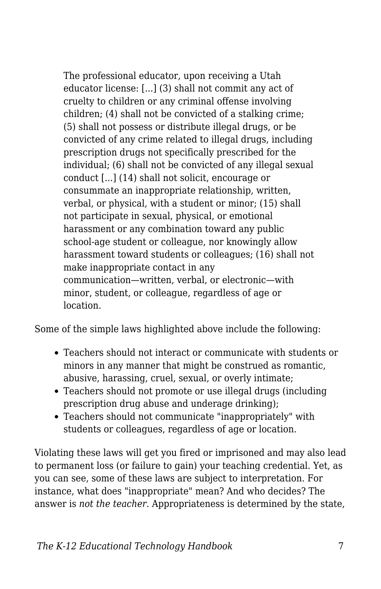The professional educator, upon receiving a Utah educator license: [...] (3) shall not commit any act of cruelty to children or any criminal offense involving children; (4) shall not be convicted of a stalking crime; (5) shall not possess or distribute illegal drugs, or be convicted of any crime related to illegal drugs, including prescription drugs not specifically prescribed for the individual; (6) shall not be convicted of any illegal sexual conduct [...] (14) shall not solicit, encourage or consummate an inappropriate relationship, written, verbal, or physical, with a student or minor; (15) shall not participate in sexual, physical, or emotional harassment or any combination toward any public school-age student or colleague, nor knowingly allow harassment toward students or colleagues; (16) shall not make inappropriate contact in any communication—written, verbal, or electronic—with minor, student, or colleague, regardless of age or location.

Some of the simple laws highlighted above include the following:

- Teachers should not interact or communicate with students or minors in any manner that might be construed as romantic, abusive, harassing, cruel, sexual, or overly intimate;
- Teachers should not promote or use illegal drugs (including prescription drug abuse and underage drinking);
- Teachers should not communicate "inappropriately" with students or colleagues, regardless of age or location.

Violating these laws will get you fired or imprisoned and may also lead to permanent loss (or failure to gain) your teaching credential. Yet, as you can see, some of these laws are subject to interpretation. For instance, what does "inappropriate" mean? And who decides? The answer is *not the teacher*. Appropriateness is determined by the state,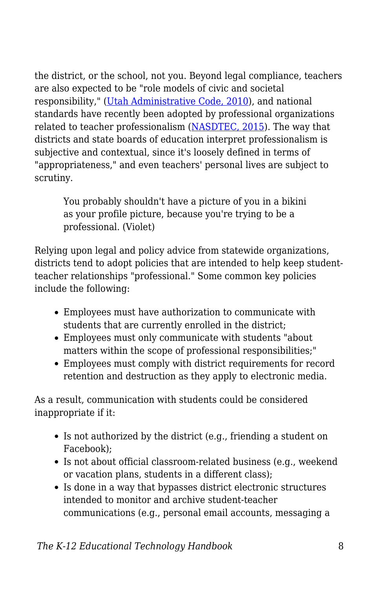the district, or the school, not you. Beyond legal compliance, teachers are also expected to be "role models of civic and societal responsibility," [\(Utah Administrative Code, 2010](http://www.rules.utah.gov/publicat/code/r277/r277-515.htm#T3)), and national standards have recently been adopted by professional organizations related to teacher professionalism ([NASDTEC, 2015\)](http://www.nasdtec.net/?page=MCEE_Doc). The way that districts and state boards of education interpret professionalism is subjective and contextual, since it's loosely defined in terms of "appropriateness," and even teachers' personal lives are subject to scrutiny.

You probably shouldn't have a picture of you in a bikini as your profile picture, because you're trying to be a professional. (Violet)

Relying upon legal and policy advice from statewide organizations, districts tend to adopt policies that are intended to help keep studentteacher relationships "professional." Some common key policies include the following:

- Employees must have authorization to communicate with students that are currently enrolled in the district;
- Employees must only communicate with students "about matters within the scope of professional responsibilities;"
- Employees must comply with district requirements for record retention and destruction as they apply to electronic media.

As a result, communication with students could be considered inappropriate if it:

- Is not authorized by the district (e.g., friending a student on Facebook);
- Is not about official classroom-related business (e.g., weekend or vacation plans, students in a different class);
- Is done in a way that bypasses district electronic structures intended to monitor and archive student-teacher communications (e.g., personal email accounts, messaging a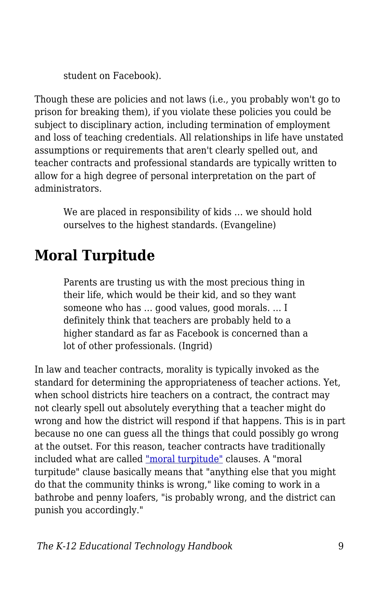student on Facebook).

Though these are policies and not laws (i.e., you probably won't go to prison for breaking them), if you violate these policies you could be subject to disciplinary action, including termination of employment and loss of teaching credentials. All relationships in life have unstated assumptions or requirements that aren't clearly spelled out, and teacher contracts and professional standards are typically written to allow for a high degree of personal interpretation on the part of administrators.

We are placed in responsibility of kids … we should hold ourselves to the highest standards. (Evangeline)

# **Moral Turpitude**

Parents are trusting us with the most precious thing in their life, which would be their kid, and so they want someone who has … good values, good morals. … I definitely think that teachers are probably held to a higher standard as far as Facebook is concerned than a lot of other professionals. (Ingrid)

In law and teacher contracts, morality is typically invoked as the standard for determining the appropriateness of teacher actions. Yet, when school districts hire teachers on a contract, the contract may not clearly spell out absolutely everything that a teacher might do wrong and how the district will respond if that happens. This is in part because no one can guess all the things that could possibly go wrong at the outset. For this reason, teacher contracts have traditionally included what are called ["moral turpitude"](https://edtechbooks.org/k12handbook/glossary#moralturp) clauses. A "moral turpitude" clause basically means that "anything else that you might do that the community thinks is wrong," like coming to work in a bathrobe and penny loafers, "is probably wrong, and the district can punish you accordingly."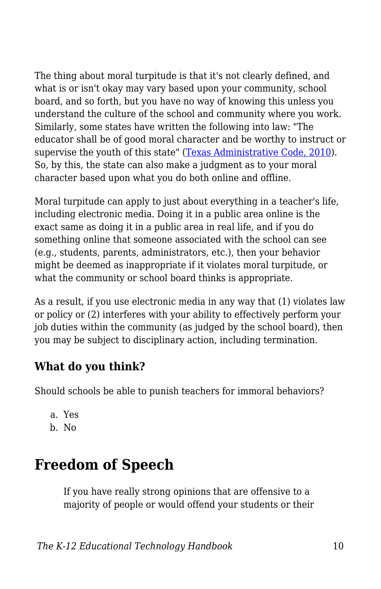The thing about moral turpitude is that it's not clearly defined, and what is or isn't okay may vary based upon your community, school board, and so forth, but you have no way of knowing this unless you understand the culture of the school and community where you work. Similarly, some states have written the following into law: "The educator shall be of good moral character and be worthy to instruct or supervise the youth of this state" [\(Texas Administrative Code, 2010](http://community.edb.utexas.edu/socialmedia/ideassm_training_content/menu-training/4?q=node/57)). So, by this, the state can also make a judgment as to your moral character based upon what you do both online and offline.

Moral turpitude can apply to just about everything in a teacher's life, including electronic media. Doing it in a public area online is the exact same as doing it in a public area in real life, and if you do something online that someone associated with the school can see (e.g., students, parents, administrators, etc.), then your behavior might be deemed as inappropriate if it violates moral turpitude, or what the community or school board thinks is appropriate.

As a result, if you use electronic media in any way that (1) violates law or policy or (2) interferes with your ability to effectively perform your job duties within the community (as judged by the school board), then you may be subject to disciplinary action, including termination.

### **What do you think?**

Should schools be able to punish teachers for immoral behaviors?

- a. Yes
- b. No

# **Freedom of Speech**

If you have really strong opinions that are offensive to a majority of people or would offend your students or their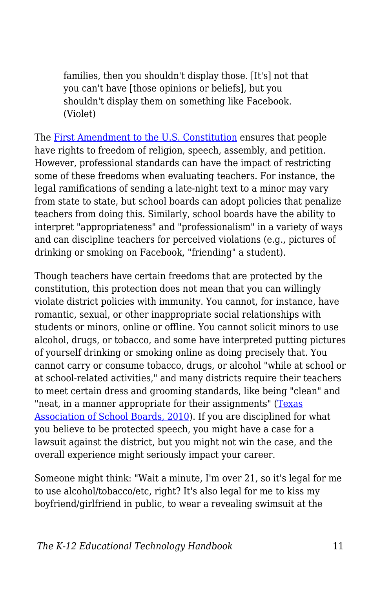families, then you shouldn't display those. [It's] not that you can't have [those opinions or beliefs], but you shouldn't display them on something like Facebook. (Violet)

The [First Amendment to the U.S. Constitution](https://en.wikipedia.org/wiki/First_Amendment_to_the_United_States_Constitution) ensures that people have rights to freedom of religion, speech, assembly, and petition. However, professional standards can have the impact of restricting some of these freedoms when evaluating teachers. For instance, the legal ramifications of sending a late-night text to a minor may vary from state to state, but school boards can adopt policies that penalize teachers from doing this. Similarly, school boards have the ability to interpret "appropriateness" and "professionalism" in a variety of ways and can discipline teachers for perceived violations (e.g., pictures of drinking or smoking on Facebook, "friending" a student).

Though teachers have certain freedoms that are protected by the constitution, this protection does not mean that you can willingly violate district policies with immunity. You cannot, for instance, have romantic, sexual, or other inappropriate social relationships with students or minors, online or offline. You cannot solicit minors to use alcohol, drugs, or tobacco, and some have interpreted putting pictures of yourself drinking or smoking online as doing precisely that. You cannot carry or consume tobacco, drugs, or alcohol "while at school or at school-related activities," and many districts require their teachers to meet certain dress and grooming standards, like being "clean" and "neat, in a manner appropriate for their assignments" [\(Texas](http://community.edb.utexas.edu/socialmedia/ideassm_training_content/menu-training/4?q=node/58) [Association of School Boards, 2010\)](http://community.edb.utexas.edu/socialmedia/ideassm_training_content/menu-training/4?q=node/58). If you are disciplined for what you believe to be protected speech, you might have a case for a lawsuit against the district, but you might not win the case, and the overall experience might seriously impact your career.

Someone might think: "Wait a minute, I'm over 21, so it's legal for me to use alcohol/tobacco/etc, right? It's also legal for me to kiss my boyfriend/girlfriend in public, to wear a revealing swimsuit at the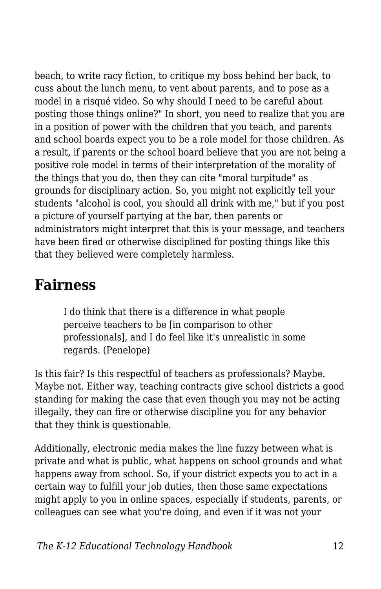beach, to write racy fiction, to critique my boss behind her back, to cuss about the lunch menu, to vent about parents, and to pose as a model in a risqué video. So why should I need to be careful about posting those things online?" In short, you need to realize that you are in a position of power with the children that you teach, and parents and school boards expect you to be a role model for those children. As a result, if parents or the school board believe that you are not being a positive role model in terms of their interpretation of the morality of the things that you do, then they can cite "moral turpitude" as grounds for disciplinary action. So, you might not explicitly tell your students "alcohol is cool, you should all drink with me," but if you post a picture of yourself partying at the bar, then parents or administrators might interpret that this is your message, and teachers have been fired or otherwise disciplined for posting things like this that they believed were completely harmless.

### **Fairness**

I do think that there is a difference in what people perceive teachers to be [in comparison to other professionals], and I do feel like it's unrealistic in some regards. (Penelope)

Is this fair? Is this respectful of teachers as professionals? Maybe. Maybe not. Either way, teaching contracts give school districts a good standing for making the case that even though you may not be acting illegally, they can fire or otherwise discipline you for any behavior that they think is questionable.

Additionally, electronic media makes the line fuzzy between what is private and what is public, what happens on school grounds and what happens away from school. So, if your district expects you to act in a certain way to fulfill your job duties, then those same expectations might apply to you in online spaces, especially if students, parents, or colleagues can see what you're doing, and even if it was not your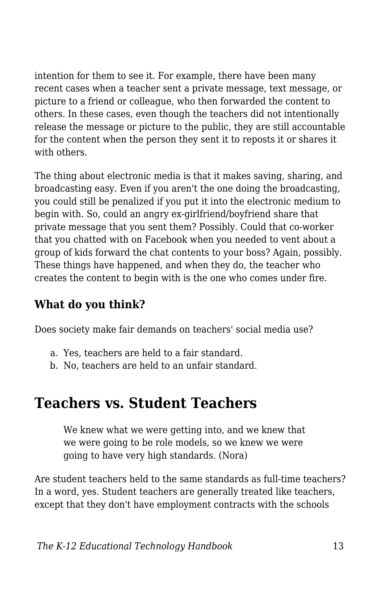intention for them to see it. For example, there have been many recent cases when a teacher sent a private message, text message, or picture to a friend or colleague, who then forwarded the content to others. In these cases, even though the teachers did not intentionally release the message or picture to the public, they are still accountable for the content when the person they sent it to reposts it or shares it with others.

The thing about electronic media is that it makes saving, sharing, and broadcasting easy. Even if you aren't the one doing the broadcasting, you could still be penalized if you put it into the electronic medium to begin with. So, could an angry ex-girlfriend/boyfriend share that private message that you sent them? Possibly. Could that co-worker that you chatted with on Facebook when you needed to vent about a group of kids forward the chat contents to your boss? Again, possibly. These things have happened, and when they do, the teacher who creates the content to begin with is the one who comes under fire.

### **What do you think?**

Does society make fair demands on teachers' social media use?

- a. Yes, teachers are held to a fair standard.
- b. No, teachers are held to an unfair standard.

# **Teachers vs. Student Teachers**

We knew what we were getting into, and we knew that we were going to be role models, so we knew we were going to have very high standards. (Nora)

Are student teachers held to the same standards as full-time teachers? In a word, yes. Student teachers are generally treated like teachers, except that they don't have employment contracts with the schools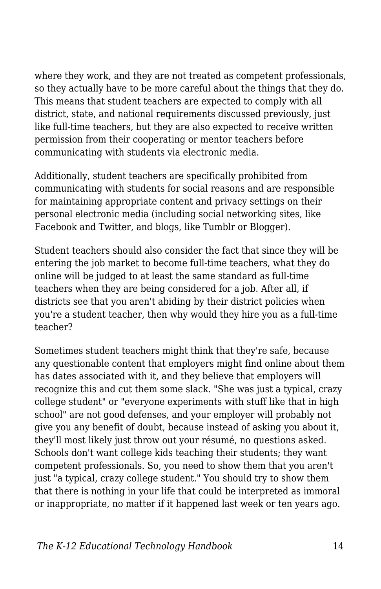where they work, and they are not treated as competent professionals, so they actually have to be more careful about the things that they do. This means that student teachers are expected to comply with all district, state, and national requirements discussed previously, just like full-time teachers, but they are also expected to receive written permission from their cooperating or mentor teachers before communicating with students via electronic media.

Additionally, student teachers are specifically prohibited from communicating with students for social reasons and are responsible for maintaining appropriate content and privacy settings on their personal electronic media (including social networking sites, like Facebook and Twitter, and blogs, like Tumblr or Blogger).

Student teachers should also consider the fact that since they will be entering the job market to become full-time teachers, what they do online will be judged to at least the same standard as full-time teachers when they are being considered for a job. After all, if districts see that you aren't abiding by their district policies when you're a student teacher, then why would they hire you as a full-time teacher?

Sometimes student teachers might think that they're safe, because any questionable content that employers might find online about them has dates associated with it, and they believe that employers will recognize this and cut them some slack. "She was just a typical, crazy college student" or "everyone experiments with stuff like that in high school" are not good defenses, and your employer will probably not give you any benefit of doubt, because instead of asking you about it, they'll most likely just throw out your résumé, no questions asked. Schools don't want college kids teaching their students; they want competent professionals. So, you need to show them that you aren't just "a typical, crazy college student." You should try to show them that there is nothing in your life that could be interpreted as immoral or inappropriate, no matter if it happened last week or ten years ago.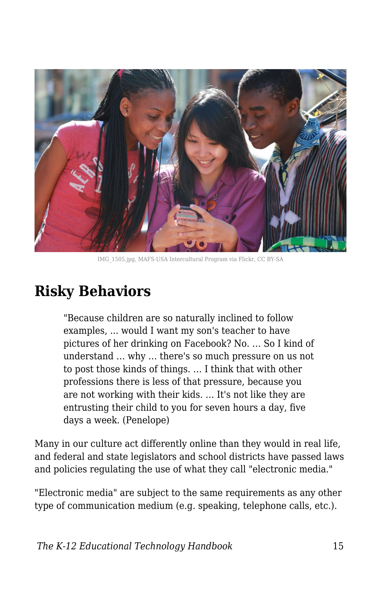

IMG\_1505.jpg, MAFS-USA Intercultural Program via Flickr, CC BY-SA

## **Risky Behaviors**

"Because children are so naturally inclined to follow examples, ... would I want my son's teacher to have pictures of her drinking on Facebook? No. … So I kind of understand … why … there's so much pressure on us not to post those kinds of things. … I think that with other professions there is less of that pressure, because you are not working with their kids. … It's not like they are entrusting their child to you for seven hours a day, five days a week. (Penelope)

Many in our culture act differently online than they would in real life, and federal and state legislators and school districts have passed laws and policies regulating the use of what they call "electronic media."

"Electronic media" are subject to the same requirements as any other type of communication medium (e.g. speaking, telephone calls, etc.).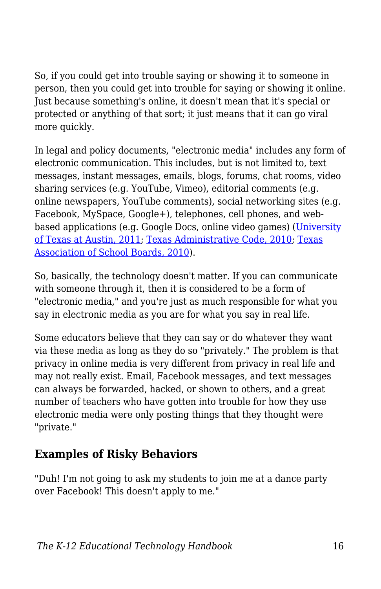So, if you could get into trouble saying or showing it to someone in person, then you could get into trouble for saying or showing it online. Just because something's online, it doesn't mean that it's special or protected or anything of that sort; it just means that it can go viral more quickly.

In legal and policy documents, "electronic media" includes any form of electronic communication. This includes, but is not limited to, text messages, instant messages, emails, blogs, forums, chat rooms, video sharing services (e.g. YouTube, Vimeo), editorial comments (e.g. online newspapers, YouTube comments), social networking sites (e.g. Facebook, MySpace, Google+), telephones, cell phones, and web-based applications (e.g. Google Docs, online video games) ([University](http://community.edb.utexas.edu/socialmedia/ideassm_training_content/menu-training/3?q=node/59) [of Texas at Austin, 2011](http://community.edb.utexas.edu/socialmedia/ideassm_training_content/menu-training/3?q=node/59); [Texas Administrative Code, 2010;](http://community.edb.utexas.edu/socialmedia/ideassm_training_content/menu-training/3?q=node/57) [Texas](http://community.edb.utexas.edu/socialmedia/ideassm_training_content/menu-training/3?q=node/58) [Association of School Boards, 2010\)](http://community.edb.utexas.edu/socialmedia/ideassm_training_content/menu-training/3?q=node/58).

So, basically, the technology doesn't matter. If you can communicate with someone through it, then it is considered to be a form of "electronic media," and you're just as much responsible for what you say in electronic media as you are for what you say in real life.

Some educators believe that they can say or do whatever they want via these media as long as they do so "privately." The problem is that privacy in online media is very different from privacy in real life and may not really exist. Email, Facebook messages, and text messages can always be forwarded, hacked, or shown to others, and a great number of teachers who have gotten into trouble for how they use electronic media were only posting things that they thought were "private."

### **Examples of Risky Behaviors**

"Duh! I'm not going to ask my students to join me at a dance party over Facebook! This doesn't apply to me."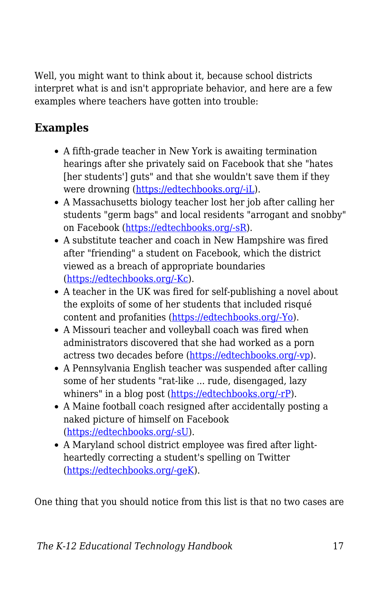Well, you might want to think about it, because school districts interpret what is and isn't appropriate behavior, and here are a few examples where teachers have gotten into trouble:

### **Examples**

- A fifth-grade teacher in New York is awaiting termination hearings after she privately said on Facebook that she "hates [her students'] guts" and that she wouldn't save them if they were drowning [\(https://edtechbooks.org/-iL\)](https://www.huffingtonpost.com/2011/03/14/teacher-christine-rubino-_n_835586.html).
- A Massachusetts biology teacher lost her job after calling her students "germ bags" and local residents "arrogant and snobby" on Facebook [\(https://edtechbooks.org/-sR](https://abcnews.go.com/Technology/facebook-firing-teacher-loses-job-commenting-students-parents/story?id=11437248)).
- A substitute teacher and coach in New Hampshire was fired after "friending" a student on Facebook, which the district viewed as a breach of appropriate boundaries ([https://edtechbooks.org/-Kc\)](https://www.greatfallstribune.com/story/life/2014/04/28/teacher-fired-for-friending-her-students/8347061/).
- A teacher in the UK was fired for self-publishing a novel about the exploits of some of her students that included risqué content and profanities ([https://edtechbooks.org/-Yo\)](https://www.independent.co.uk/news/education/education-news/teachers-racy-novel-to-encourage-pupils-to-read-1735250.html).
- A Missouri teacher and volleyball coach was fired when administrators discovered that she had worked as a porn actress two decades before [\(https://edtechbooks.org/-vp](https://blog.sfgate.com/hottopics/2011/03/09/teacher-fired-for-porn-star-past/)).
- A Pennsylvania English teacher was suspended after calling some of her students "rat-like ... rude, disengaged, lazy whiners" in a blog post ([https://edtechbooks.org/-rP](https://theweek.com/articles/487144/should-teacher-fired-blogging)).
- A Maine football coach resigned after accidentally posting a naked picture of himself on Facebook ([https://edtechbooks.org/-sU](http://sports.yahoo.com/blogs/highschool-prep-rally/maine-football-coach-resigns-accidentally-posting-naked-photo-233913817.html)).
- A Maryland school district employee was fired after lightheartedly correcting a student's spelling on Twitter ([https://edtechbooks.org/-geK\)](https://www.nydailynews.com/news/national/maryland-school-district-employee-fired-tweet-article-1.2947002).

One thing that you should notice from this list is that no two cases are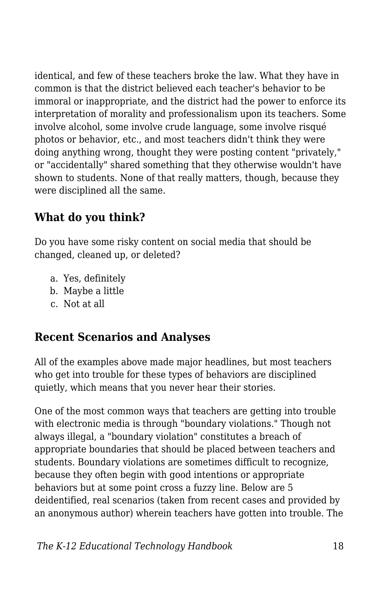identical, and few of these teachers broke the law. What they have in common is that the district believed each teacher's behavior to be immoral or inappropriate, and the district had the power to enforce its interpretation of morality and professionalism upon its teachers. Some involve alcohol, some involve crude language, some involve risqué photos or behavior, etc., and most teachers didn't think they were doing anything wrong, thought they were posting content "privately," or "accidentally" shared something that they otherwise wouldn't have shown to students. None of that really matters, though, because they were disciplined all the same.

### **What do you think?**

Do you have some risky content on social media that should be changed, cleaned up, or deleted?

- a. Yes, definitely
- b. Maybe a little
- c. Not at all

#### **Recent Scenarios and Analyses**

All of the examples above made major headlines, but most teachers who get into trouble for these types of behaviors are disciplined quietly, which means that you never hear their stories.

One of the most common ways that teachers are getting into trouble with electronic media is through "boundary violations." Though not always illegal, a "boundary violation" constitutes a breach of appropriate boundaries that should be placed between teachers and students. Boundary violations are sometimes difficult to recognize, because they often begin with good intentions or appropriate behaviors but at some point cross a fuzzy line. Below are 5 deidentified, real scenarios (taken from recent cases and provided by an anonymous author) wherein teachers have gotten into trouble. The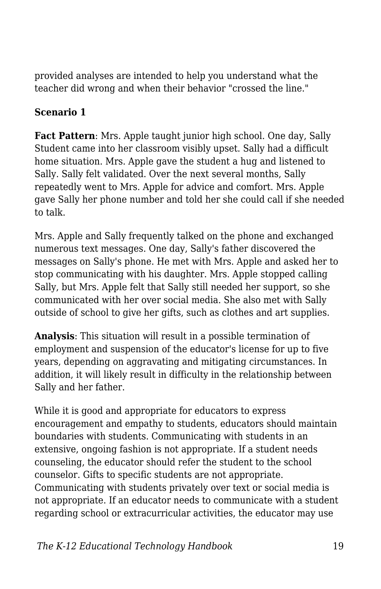provided analyses are intended to help you understand what the teacher did wrong and when their behavior "crossed the line."

#### **Scenario 1**

**Fact Pattern**: Mrs. Apple taught junior high school. One day, Sally Student came into her classroom visibly upset. Sally had a difficult home situation. Mrs. Apple gave the student a hug and listened to Sally. Sally felt validated. Over the next several months, Sally repeatedly went to Mrs. Apple for advice and comfort. Mrs. Apple gave Sally her phone number and told her she could call if she needed to talk.

Mrs. Apple and Sally frequently talked on the phone and exchanged numerous text messages. One day, Sally's father discovered the messages on Sally's phone. He met with Mrs. Apple and asked her to stop communicating with his daughter. Mrs. Apple stopped calling Sally, but Mrs. Apple felt that Sally still needed her support, so she communicated with her over social media. She also met with Sally outside of school to give her gifts, such as clothes and art supplies.

**Analysis**: This situation will result in a possible termination of employment and suspension of the educator's license for up to five years, depending on aggravating and mitigating circumstances. In addition, it will likely result in difficulty in the relationship between Sally and her father.

While it is good and appropriate for educators to express encouragement and empathy to students, educators should maintain boundaries with students. Communicating with students in an extensive, ongoing fashion is not appropriate. If a student needs counseling, the educator should refer the student to the school counselor. Gifts to specific students are not appropriate. Communicating with students privately over text or social media is not appropriate. If an educator needs to communicate with a student regarding school or extracurricular activities, the educator may use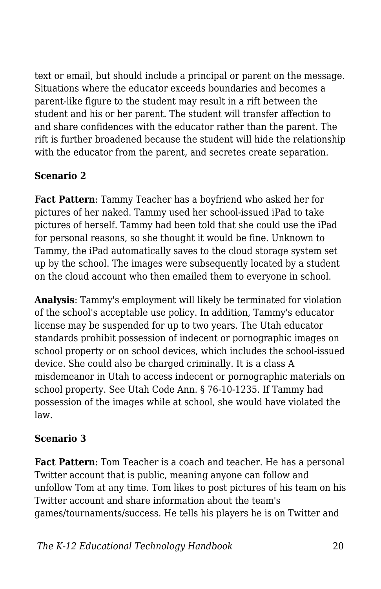text or email, but should include a principal or parent on the message. Situations where the educator exceeds boundaries and becomes a parent-like figure to the student may result in a rift between the student and his or her parent. The student will transfer affection to and share confidences with the educator rather than the parent. The rift is further broadened because the student will hide the relationship with the educator from the parent, and secretes create separation.

#### **Scenario 2**

**Fact Pattern**: Tammy Teacher has a boyfriend who asked her for pictures of her naked. Tammy used her school-issued iPad to take pictures of herself. Tammy had been told that she could use the iPad for personal reasons, so she thought it would be fine. Unknown to Tammy, the iPad automatically saves to the cloud storage system set up by the school. The images were subsequently located by a student on the cloud account who then emailed them to everyone in school.

**Analysis**: Tammy's employment will likely be terminated for violation of the school's acceptable use policy. In addition, Tammy's educator license may be suspended for up to two years. The Utah educator standards prohibit possession of indecent or pornographic images on school property or on school devices, which includes the school-issued device. She could also be charged criminally. It is a class A misdemeanor in Utah to access indecent or pornographic materials on school property. See Utah Code Ann. § 76-10-1235. If Tammy had possession of the images while at school, she would have violated the law.

#### **Scenario 3**

**Fact Pattern**: Tom Teacher is a coach and teacher. He has a personal Twitter account that is public, meaning anyone can follow and unfollow Tom at any time. Tom likes to post pictures of his team on his Twitter account and share information about the team's games/tournaments/success. He tells his players he is on Twitter and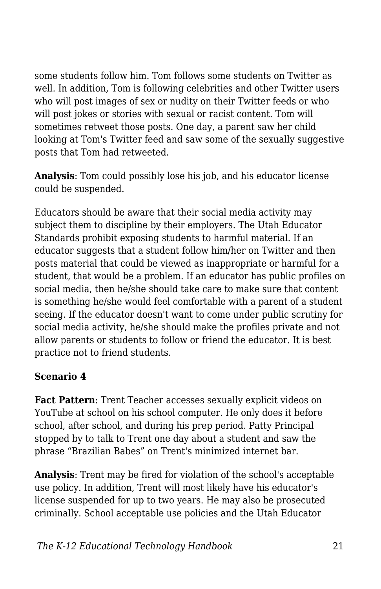some students follow him. Tom follows some students on Twitter as well. In addition, Tom is following celebrities and other Twitter users who will post images of sex or nudity on their Twitter feeds or who will post jokes or stories with sexual or racist content. Tom will sometimes retweet those posts. One day, a parent saw her child looking at Tom's Twitter feed and saw some of the sexually suggestive posts that Tom had retweeted.

**Analysis**: Tom could possibly lose his job, and his educator license could be suspended.

Educators should be aware that their social media activity may subject them to discipline by their employers. The Utah Educator Standards prohibit exposing students to harmful material. If an educator suggests that a student follow him/her on Twitter and then posts material that could be viewed as inappropriate or harmful for a student, that would be a problem. If an educator has public profiles on social media, then he/she should take care to make sure that content is something he/she would feel comfortable with a parent of a student seeing. If the educator doesn't want to come under public scrutiny for social media activity, he/she should make the profiles private and not allow parents or students to follow or friend the educator. It is best practice not to friend students.

#### **Scenario 4**

**Fact Pattern**: Trent Teacher accesses sexually explicit videos on YouTube at school on his school computer. He only does it before school, after school, and during his prep period. Patty Principal stopped by to talk to Trent one day about a student and saw the phrase "Brazilian Babes" on Trent's minimized internet bar.

**Analysis**: Trent may be fired for violation of the school's acceptable use policy. In addition, Trent will most likely have his educator's license suspended for up to two years. He may also be prosecuted criminally. School acceptable use policies and the Utah Educator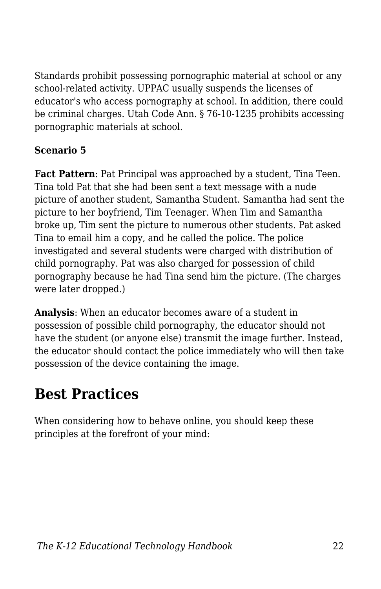Standards prohibit possessing pornographic material at school or any school-related activity. UPPAC usually suspends the licenses of educator's who access pornography at school. In addition, there could be criminal charges. Utah Code Ann. § 76-10-1235 prohibits accessing pornographic materials at school.

#### **Scenario 5**

**Fact Pattern**: Pat Principal was approached by a student, Tina Teen. Tina told Pat that she had been sent a text message with a nude picture of another student, Samantha Student. Samantha had sent the picture to her boyfriend, Tim Teenager. When Tim and Samantha broke up, Tim sent the picture to numerous other students. Pat asked Tina to email him a copy, and he called the police. The police investigated and several students were charged with distribution of child pornography. Pat was also charged for possession of child pornography because he had Tina send him the picture. (The charges were later dropped.)

**Analysis**: When an educator becomes aware of a student in possession of possible child pornography, the educator should not have the student (or anyone else) transmit the image further. Instead, the educator should contact the police immediately who will then take possession of the device containing the image.

# **Best Practices**

When considering how to behave online, you should keep these principles at the forefront of your mind: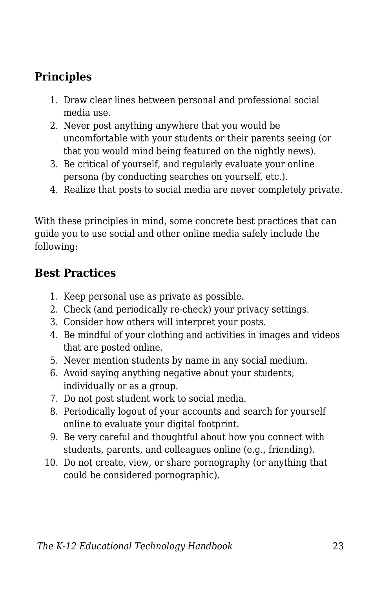### **Principles**

- 1. Draw clear lines between personal and professional social media use.
- 2. Never post anything anywhere that you would be uncomfortable with your students or their parents seeing (or that you would mind being featured on the nightly news).
- 3. Be critical of yourself, and regularly evaluate your online persona (by conducting searches on yourself, etc.).
- 4. Realize that posts to social media are never completely private.

With these principles in mind, some concrete best practices that can guide you to use social and other online media safely include the following:

#### **Best Practices**

- 1. Keep personal use as private as possible.
- 2. Check (and periodically re-check) your privacy settings.
- 3. Consider how others will interpret your posts.
- 4. Be mindful of your clothing and activities in images and videos that are posted online.
- 5. Never mention students by name in any social medium.
- 6. Avoid saying anything negative about your students, individually or as a group.
- 7. Do not post student work to social media.
- 8. Periodically logout of your accounts and search for yourself online to evaluate your digital footprint.
- 9. Be very careful and thoughtful about how you connect with students, parents, and colleagues online (e.g., friending).
- 10. Do not create, view, or share pornography (or anything that could be considered pornographic).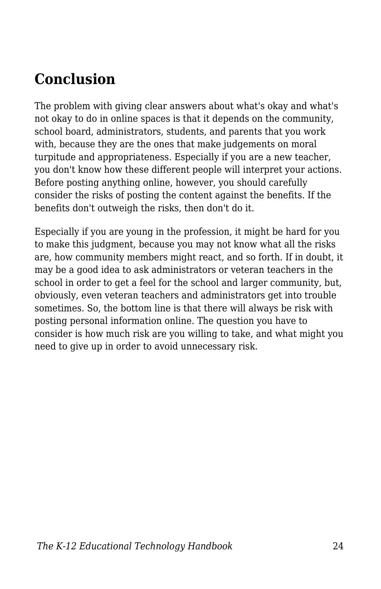# **Conclusion**

The problem with giving clear answers about what's okay and what's not okay to do in online spaces is that it depends on the community, school board, administrators, students, and parents that you work with, because they are the ones that make judgements on moral turpitude and appropriateness. Especially if you are a new teacher, you don't know how these different people will interpret your actions. Before posting anything online, however, you should carefully consider the risks of posting the content against the benefits. If the benefits don't outweigh the risks, then don't do it.

Especially if you are young in the profession, it might be hard for you to make this judgment, because you may not know what all the risks are, how community members might react, and so forth. If in doubt, it may be a good idea to ask administrators or veteran teachers in the school in order to get a feel for the school and larger community, but, obviously, even veteran teachers and administrators get into trouble sometimes. So, the bottom line is that there will always be risk with posting personal information online. The question you have to consider is how much risk are you willing to take, and what might you need to give up in order to avoid unnecessary risk.